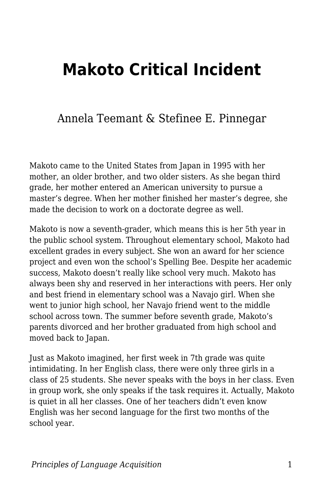## **Makoto Critical Incident**

## Annela Teemant & Stefinee E. Pinnegar

Makoto came to the United States from Japan in 1995 with her mother, an older brother, and two older sisters. As she began third grade, her mother entered an American university to pursue a master's degree. When her mother finished her master's degree, she made the decision to work on a doctorate degree as well.

Makoto is now a seventh-grader, which means this is her 5th year in the public school system. Throughout elementary school, Makoto had excellent grades in every subject. She won an award for her science project and even won the school's Spelling Bee. Despite her academic success, Makoto doesn't really like school very much. Makoto has always been shy and reserved in her interactions with peers. Her only and best friend in elementary school was a Navajo girl. When she went to junior high school, her Navajo friend went to the middle school across town. The summer before seventh grade, Makoto's parents divorced and her brother graduated from high school and moved back to Japan.

Just as Makoto imagined, her first week in 7th grade was quite intimidating. In her English class, there were only three girls in a class of 25 students. She never speaks with the boys in her class. Even in group work, she only speaks if the task requires it. Actually, Makoto is quiet in all her classes. One of her teachers didn't even know English was her second language for the first two months of the school year.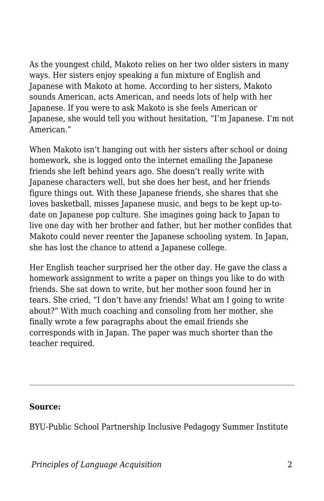As the youngest child, Makoto relies on her two older sisters in many ways. Her sisters enjoy speaking a fun mixture of English and Japanese with Makoto at home. According to her sisters, Makoto sounds American, acts American, and needs lots of help with her Japanese. If you were to ask Makoto is she feels American or Japanese, she would tell you without hesitation, "I'm Japanese. I'm not American."

When Makoto isn't hanging out with her sisters after school or doing homework, she is logged onto the internet emailing the Japanese friends she left behind years ago. She doesn't really write with Japanese characters well, but she does her best, and her friends figure things out. With these Japanese friends, she shares that she loves basketball, misses Japanese music, and begs to be kept up-todate on Japanese pop culture. She imagines going back to Japan to live one day with her brother and father, but her mother confides that Makoto could never reenter the Japanese schooling system. In Japan, she has lost the chance to attend a Japanese college.

Her English teacher surprised her the other day. He gave the class a homework assignment to write a paper on things you like to do with friends. She sat down to write, but her mother soon found her in tears. She cried, "I don't have any friends! What am I going to write about?" With much coaching and consoling from her mother, she finally wrote a few paragraphs about the email friends she corresponds with in Japan. The paper was much shorter than the teacher required.

## **Source:**

BYU-Public School Partnership Inclusive Pedagogy Summer Institute